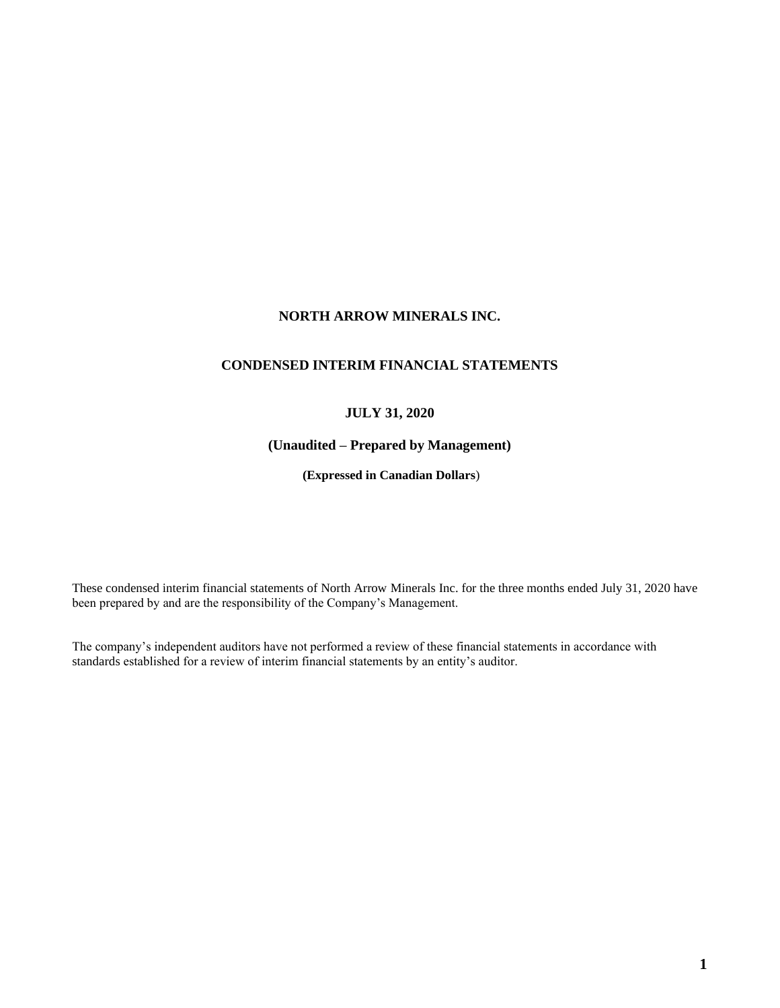# **NORTH ARROW MINERALS INC.**

## **CONDENSED INTERIM FINANCIAL STATEMENTS**

## **JULY 31, 2020**

## **(Unaudited – Prepared by Management)**

**(Expressed in Canadian Dollars**)

These condensed interim financial statements of North Arrow Minerals Inc. for the three months ended July 31, 2020 have been prepared by and are the responsibility of the Company's Management.

The company's independent auditors have not performed a review of these financial statements in accordance with standards established for a review of interim financial statements by an entity's auditor.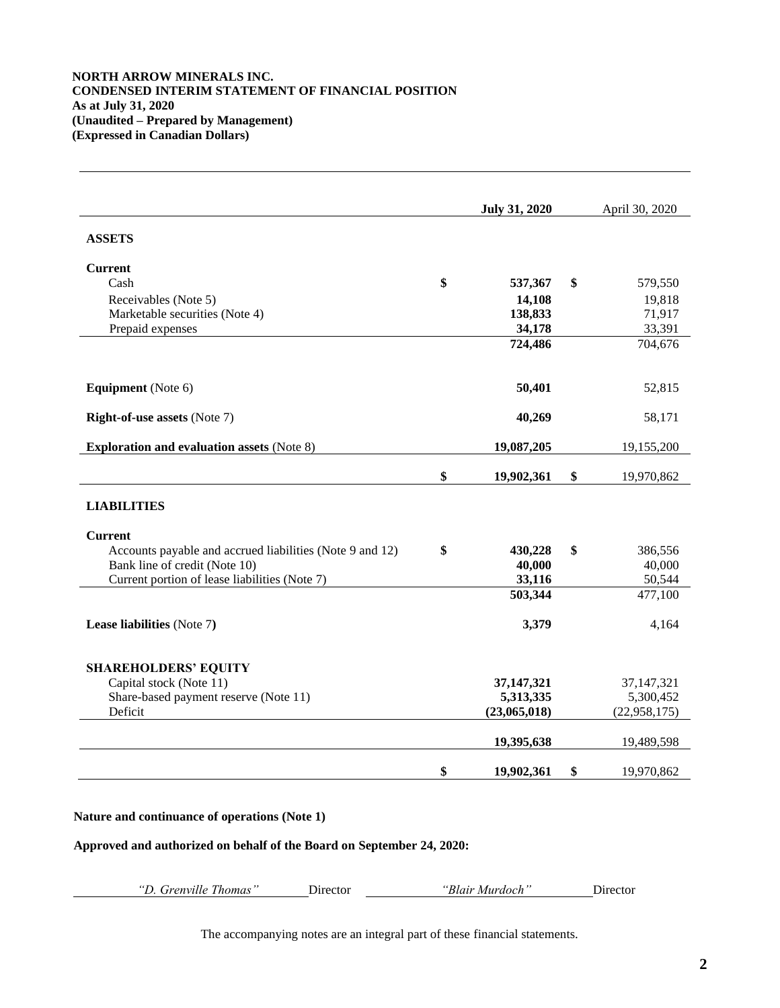## **NORTH ARROW MINERALS INC. CONDENSED INTERIM STATEMENT OF FINANCIAL POSITION As at July 31, 2020 (Unaudited – Prepared by Management) (Expressed in Canadian Dollars)**

|                                                          | <b>July 31, 2020</b> | April 30, 2020   |
|----------------------------------------------------------|----------------------|------------------|
| <b>ASSETS</b>                                            |                      |                  |
| <b>Current</b>                                           |                      |                  |
| Cash                                                     | \$<br>537,367        | \$<br>579,550    |
| Receivables (Note 5)                                     | 14,108               | 19,818           |
| Marketable securities (Note 4)                           | 138,833              | 71,917           |
| Prepaid expenses                                         | 34,178               | 33,391           |
|                                                          | 724,486              | 704,676          |
| <b>Equipment</b> (Note 6)                                | 50,401               | 52,815           |
| <b>Right-of-use assets (Note 7)</b>                      | 40,269               | 58,171           |
| <b>Exploration and evaluation assets (Note 8)</b>        | 19,087,205           | 19,155,200       |
|                                                          | \$<br>19,902,361     | \$<br>19,970,862 |
| <b>LIABILITIES</b>                                       |                      |                  |
| <b>Current</b>                                           |                      |                  |
| Accounts payable and accrued liabilities (Note 9 and 12) | \$<br>430,228        | \$<br>386,556    |
| Bank line of credit (Note 10)                            | 40,000               | 40,000           |
| Current portion of lease liabilities (Note 7)            | 33,116               | 50,544           |
|                                                          | 503,344              | 477,100          |
| Lease liabilities (Note 7)                               | 3,379                | 4,164            |
| <b>SHAREHOLDERS' EQUITY</b>                              |                      |                  |
| Capital stock (Note 11)                                  | 37,147,321           | 37, 147, 321     |
| Share-based payment reserve (Note 11)                    | 5,313,335            | 5,300,452        |
| Deficit                                                  | (23,065,018)         | (22, 958, 175)   |
|                                                          | 19,395,638           | 19,489,598       |
|                                                          | \$<br>19,902,361     | \$<br>19,970,862 |
|                                                          |                      |                  |

## **Nature and continuance of operations (Note 1)**

**Approved and authorized on behalf of the Board on September 24, 2020:**

| "D. Grenville Thomas" | "Blair Murdoch"<br>Director | Director |
|-----------------------|-----------------------------|----------|
|-----------------------|-----------------------------|----------|

The accompanying notes are an integral part of these financial statements.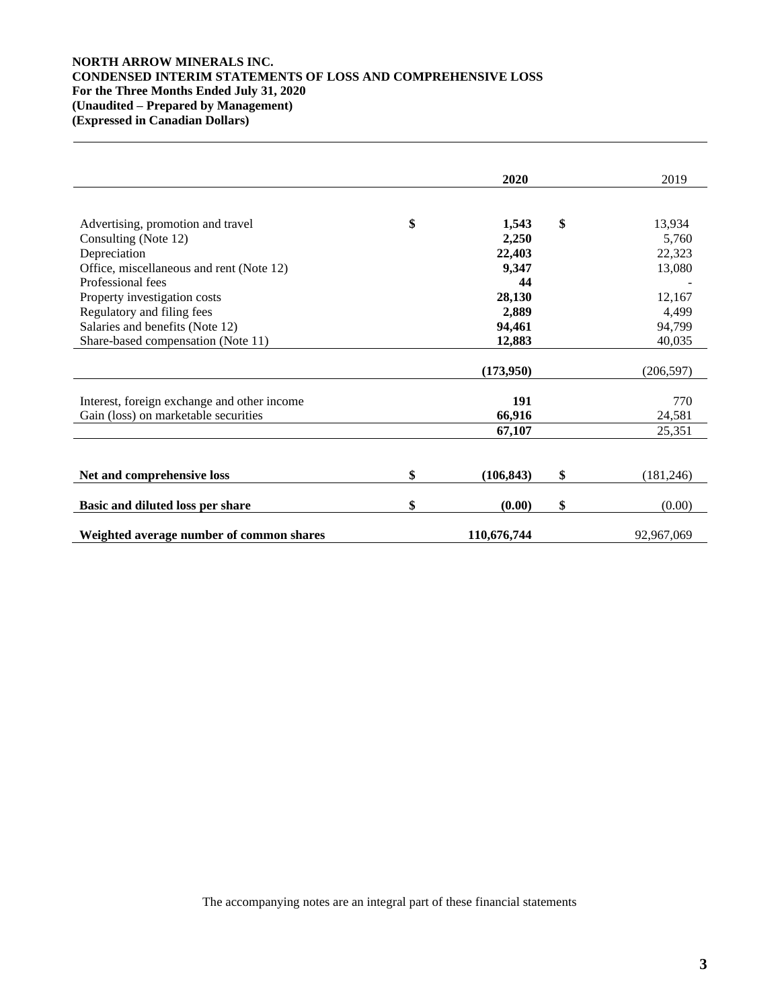## **NORTH ARROW MINERALS INC. CONDENSED INTERIM STATEMENTS OF LOSS AND COMPREHENSIVE LOSS For the Three Months Ended July 31, 2020 (Unaudited – Prepared by Management) (Expressed in Canadian Dollars)**

|                                             | 2020             | 2019             |
|---------------------------------------------|------------------|------------------|
|                                             |                  |                  |
| Advertising, promotion and travel           | \$<br>1,543      | \$<br>13,934     |
| Consulting (Note 12)                        | 2,250            | 5,760            |
| Depreciation                                | 22,403           | 22,323           |
| Office, miscellaneous and rent (Note 12)    | 9,347            | 13,080           |
| Professional fees                           | 44               |                  |
| Property investigation costs                | 28,130           | 12,167           |
| Regulatory and filing fees                  | 2,889            | 4,499            |
| Salaries and benefits (Note 12)             | 94,461           | 94,799           |
|                                             |                  | 40,035           |
| Share-based compensation (Note 11)          | 12,883           |                  |
|                                             | (173,950)        | (206, 597)       |
|                                             |                  |                  |
| Interest, foreign exchange and other income | 191              | 770              |
| Gain (loss) on marketable securities        | 66,916           | 24,581           |
|                                             | 67,107           | 25,351           |
|                                             |                  |                  |
| Net and comprehensive loss                  | \$<br>(106, 843) | \$<br>(181, 246) |
|                                             |                  |                  |
| Basic and diluted loss per share            | \$<br>(0.00)     | \$<br>(0.00)     |
| Weighted average number of common shares    | 110,676,744      | 92,967,069       |

The accompanying notes are an integral part of these financial statements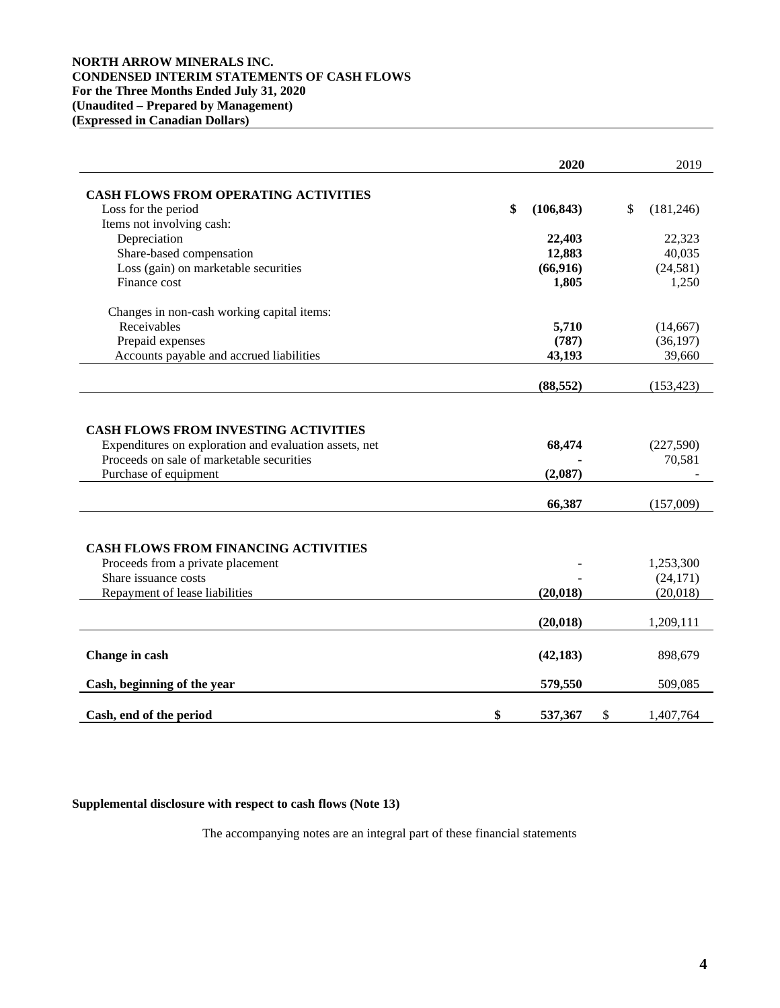## **NORTH ARROW MINERALS INC. CONDENSED INTERIM STATEMENTS OF CASH FLOWS For the Three Months Ended July 31, 2020 (Unaudited – Prepared by Management) (Expressed in Canadian Dollars)**

|                                                                                                     | 2020             | 2019                |
|-----------------------------------------------------------------------------------------------------|------------------|---------------------|
| <b>CASH FLOWS FROM OPERATING ACTIVITIES</b>                                                         |                  |                     |
| Loss for the period                                                                                 | \$<br>(106, 843) | \$<br>(181, 246)    |
| Items not involving cash:                                                                           |                  |                     |
| Depreciation                                                                                        | 22,403           | 22,323              |
| Share-based compensation                                                                            | 12,883           | 40,035              |
| Loss (gain) on marketable securities                                                                | (66, 916)        | (24, 581)           |
| Finance cost                                                                                        | 1,805            | 1,250               |
| Changes in non-cash working capital items:                                                          |                  |                     |
| Receivables                                                                                         | 5,710            | (14,667)            |
| Prepaid expenses                                                                                    | (787)            | (36, 197)           |
| Accounts payable and accrued liabilities                                                            | 43,193           | 39,660              |
|                                                                                                     | (88, 552)        | (153, 423)          |
| Purchase of equipment                                                                               | (2,087)          |                     |
| Expenditures on exploration and evaluation assets, net<br>Proceeds on sale of marketable securities | 68,474           | (227,590)<br>70,581 |
|                                                                                                     | 66,387           | (157,009)           |
|                                                                                                     |                  |                     |
| <b>CASH FLOWS FROM FINANCING ACTIVITIES</b>                                                         |                  |                     |
| Proceeds from a private placement<br>Share issuance costs                                           |                  | 1,253,300           |
|                                                                                                     |                  | (24, 171)           |
| Repayment of lease liabilities                                                                      | (20, 018)        | (20,018)            |
|                                                                                                     | (20, 018)        | 1,209,111           |
| Change in cash                                                                                      | (42, 183)        | 898,679             |
| Cash, beginning of the year                                                                         | 579,550          | 509,085             |
| Cash, end of the period                                                                             | \$<br>537,367    | \$<br>1,407,764     |

**Supplemental disclosure with respect to cash flows (Note 13)**

The accompanying notes are an integral part of these financial statements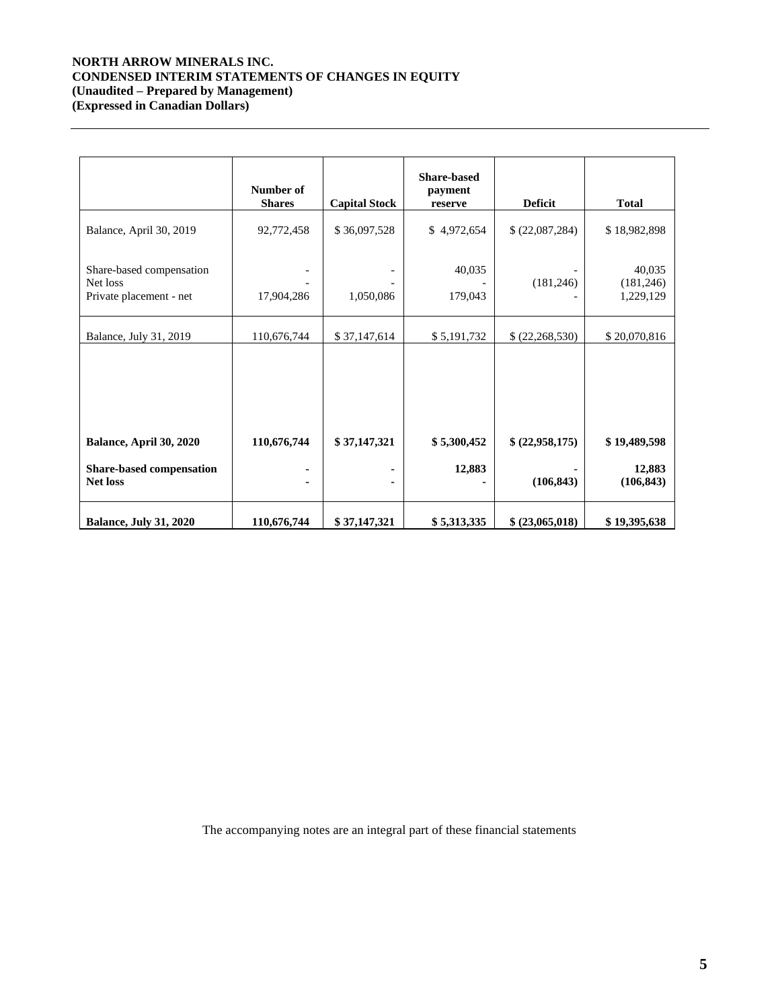## **NORTH ARROW MINERALS INC. CONDENSED INTERIM STATEMENTS OF CHANGES IN EQUITY (Unaudited – Prepared by Management) (Expressed in Canadian Dollars)**

|                                                                 | Number of<br><b>Shares</b> | <b>Capital Stock</b> | <b>Share-based</b><br>payment<br>reserve | <b>Deficit</b>  | <b>Total</b>                      |
|-----------------------------------------------------------------|----------------------------|----------------------|------------------------------------------|-----------------|-----------------------------------|
| Balance, April 30, 2019                                         | 92,772,458                 | \$36,097,528         | \$4,972,654                              | \$(22,087,284)  | \$18,982,898                      |
| Share-based compensation<br>Net loss<br>Private placement - net | 17,904,286                 | 1,050,086            | 40,035<br>179,043                        | (181, 246)      | 40,035<br>(181, 246)<br>1,229,129 |
| Balance, July 31, 2019                                          | 110,676,744                | \$37,147,614         | \$5,191,732                              | \$(22,268,530)  | \$20,070,816                      |
|                                                                 |                            |                      |                                          |                 |                                   |
| Balance, April 30, 2020                                         | 110,676,744                | \$37,147,321         | \$5,300,452                              | \$ (22,958,175) | \$19,489,598                      |
| <b>Share-based compensation</b><br><b>Net loss</b>              |                            |                      | 12,883                                   | (106, 843)      | 12,883<br>(106, 843)              |
| <b>Balance, July 31, 2020</b>                                   | 110,676,744                | \$37,147,321         | \$5,313,335                              | \$ (23,065,018) | \$19,395,638                      |

The accompanying notes are an integral part of these financial statements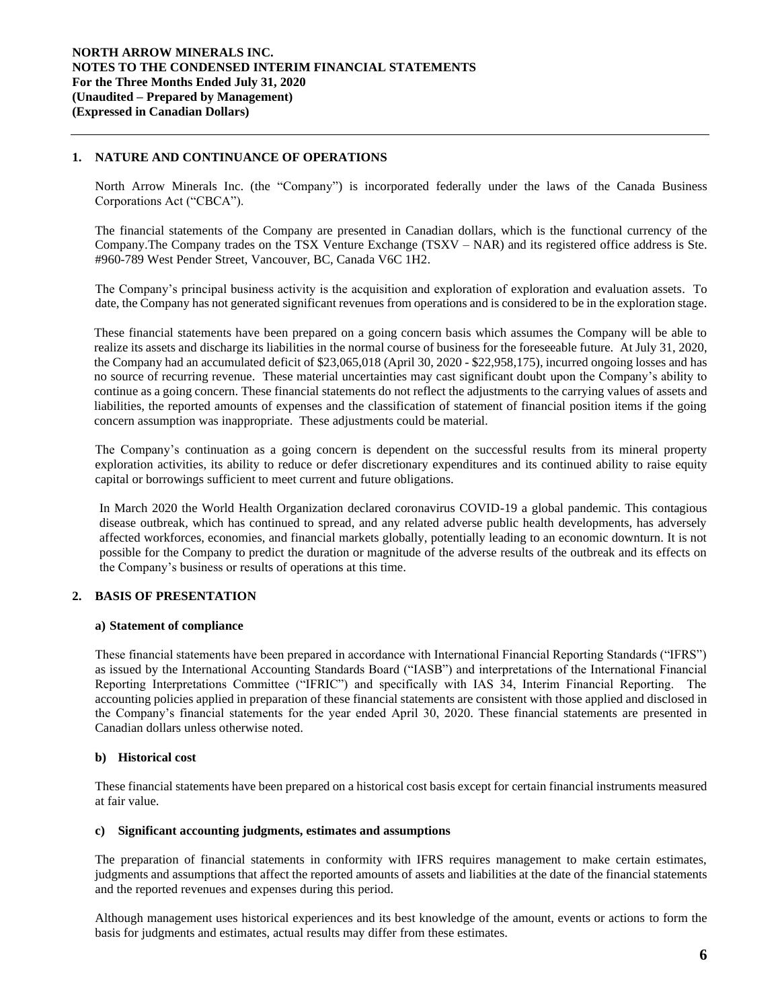## **1. NATURE AND CONTINUANCE OF OPERATIONS**

North Arrow Minerals Inc. (the "Company") is incorporated federally under the laws of the Canada Business Corporations Act ("CBCA").

The financial statements of the Company are presented in Canadian dollars, which is the functional currency of the Company.The Company trades on the TSX Venture Exchange (TSXV – NAR) and its registered office address is Ste. #960-789 West Pender Street, Vancouver, BC, Canada V6C 1H2.

The Company's principal business activity is the acquisition and exploration of exploration and evaluation assets. To date, the Company has not generated significant revenues from operations and is considered to be in the exploration stage.

These financial statements have been prepared on a going concern basis which assumes the Company will be able to realize its assets and discharge its liabilities in the normal course of business for the foreseeable future. At July 31, 2020, the Company had an accumulated deficit of \$23,065,018 (April 30, 2020 - \$22,958,175), incurred ongoing losses and has no source of recurring revenue. These material uncertainties may cast significant doubt upon the Company's ability to continue as a going concern. These financial statements do not reflect the adjustments to the carrying values of assets and liabilities, the reported amounts of expenses and the classification of statement of financial position items if the going concern assumption was inappropriate. These adjustments could be material.

The Company's continuation as a going concern is dependent on the successful results from its mineral property exploration activities, its ability to reduce or defer discretionary expenditures and its continued ability to raise equity capital or borrowings sufficient to meet current and future obligations.

In March 2020 the World Health Organization declared coronavirus COVID-19 a global pandemic. This contagious disease outbreak, which has continued to spread, and any related adverse public health developments, has adversely affected workforces, economies, and financial markets globally, potentially leading to an economic downturn. It is not possible for the Company to predict the duration or magnitude of the adverse results of the outbreak and its effects on the Company's business or results of operations at this time.

## **2. BASIS OF PRESENTATION**

#### **a) Statement of compliance**

These financial statements have been prepared in accordance with International Financial Reporting Standards ("IFRS") as issued by the International Accounting Standards Board ("IASB") and interpretations of the International Financial Reporting Interpretations Committee ("IFRIC") and specifically with IAS 34, Interim Financial Reporting. The accounting policies applied in preparation of these financial statements are consistent with those applied and disclosed in the Company's financial statements for the year ended April 30, 2020. These financial statements are presented in Canadian dollars unless otherwise noted.

### **b) Historical cost**

These financial statements have been prepared on a historical cost basis except for certain financial instruments measured at fair value.

#### **c) Significant accounting judgments, estimates and assumptions**

The preparation of financial statements in conformity with IFRS requires management to make certain estimates, judgments and assumptions that affect the reported amounts of assets and liabilities at the date of the financial statements and the reported revenues and expenses during this period.

Although management uses historical experiences and its best knowledge of the amount, events or actions to form the basis for judgments and estimates, actual results may differ from these estimates.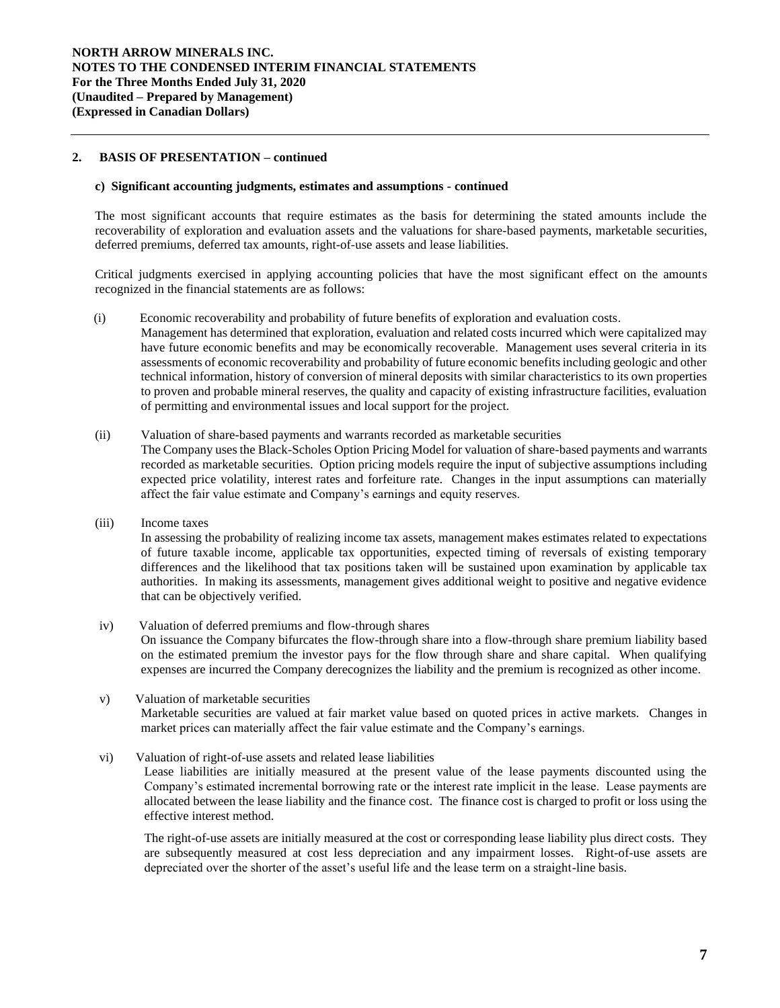## **2. BASIS OF PRESENTATION – continued**

### **c) Significant accounting judgments, estimates and assumptions** *-* **continued**

The most significant accounts that require estimates as the basis for determining the stated amounts include the recoverability of exploration and evaluation assets and the valuations for share-based payments, marketable securities, deferred premiums, deferred tax amounts, right-of-use assets and lease liabilities.

Critical judgments exercised in applying accounting policies that have the most significant effect on the amounts recognized in the financial statements are as follows:

- (i) Economic recoverability and probability of future benefits of exploration and evaluation costs*.*  Management has determined that exploration, evaluation and related costs incurred which were capitalized may have future economic benefits and may be economically recoverable. Management uses several criteria in its assessments of economic recoverability and probability of future economic benefits including geologic and other technical information, history of conversion of mineral deposits with similar characteristics to its own properties to proven and probable mineral reserves, the quality and capacity of existing infrastructure facilities, evaluation of permitting and environmental issues and local support for the project.
- (ii) Valuation of share-based payments and warrants recorded as marketable securities The Company uses the Black-Scholes Option Pricing Model for valuation of share-based payments and warrants recorded as marketable securities. Option pricing models require the input of subjective assumptions including expected price volatility, interest rates and forfeiture rate. Changes in the input assumptions can materially affect the fair value estimate and Company's earnings and equity reserves.
- (iii) Income taxes

In assessing the probability of realizing income tax assets, management makes estimates related to expectations of future taxable income, applicable tax opportunities, expected timing of reversals of existing temporary differences and the likelihood that tax positions taken will be sustained upon examination by applicable tax authorities. In making its assessments, management gives additional weight to positive and negative evidence that can be objectively verified.

- iv) Valuation of deferred premiums and flow-through shares On issuance the Company bifurcates the flow-through share into a flow-through share premium liability based on the estimated premium the investor pays for the flow through share and share capital. When qualifying expenses are incurred the Company derecognizes the liability and the premium is recognized as other income.
- v) Valuation of marketable securities Marketable securities are valued at fair market value based on quoted prices in active markets. Changes in market prices can materially affect the fair value estimate and the Company's earnings.
- vi) Valuation of right-of-use assets and related lease liabilities

Lease liabilities are initially measured at the present value of the lease payments discounted using the Company's estimated incremental borrowing rate or the interest rate implicit in the lease. Lease payments are allocated between the lease liability and the finance cost. The finance cost is charged to profit or loss using the effective interest method.

The right-of-use assets are initially measured at the cost or corresponding lease liability plus direct costs. They are subsequently measured at cost less depreciation and any impairment losses. Right-of-use assets are depreciated over the shorter of the asset's useful life and the lease term on a straight-line basis.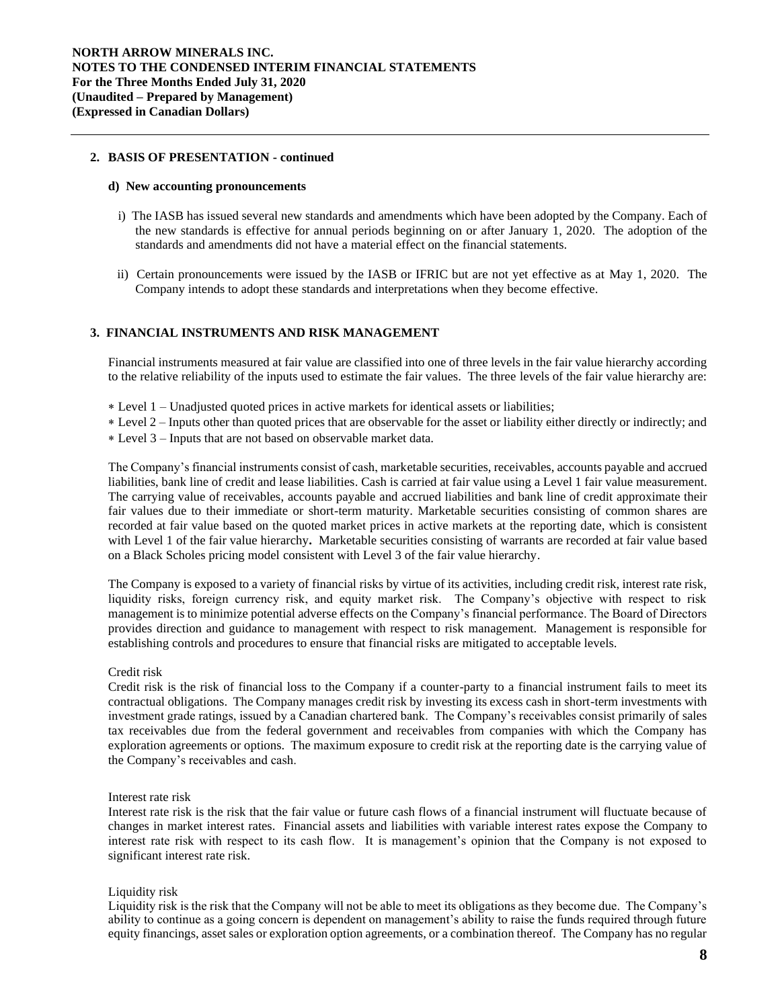#### **2. BASIS OF PRESENTATION - continued**

#### **d) New accounting pronouncements**

- i) The IASB has issued several new standards and amendments which have been adopted by the Company. Each of the new standards is effective for annual periods beginning on or after January 1, 2020. The adoption of the standards and amendments did not have a material effect on the financial statements.
- ii) Certain pronouncements were issued by the IASB or IFRIC but are not yet effective as at May 1, 2020. The Company intends to adopt these standards and interpretations when they become effective.

#### **3. FINANCIAL INSTRUMENTS AND RISK MANAGEMENT**

Financial instruments measured at fair value are classified into one of three levels in the fair value hierarchy according to the relative reliability of the inputs used to estimate the fair values. The three levels of the fair value hierarchy are:

- Level 1 Unadjusted quoted prices in active markets for identical assets or liabilities;
- Level 2 Inputs other than quoted prices that are observable for the asset or liability either directly or indirectly; and
- Level 3 Inputs that are not based on observable market data.

The Company's financial instruments consist of cash, marketable securities, receivables, accounts payable and accrued liabilities, bank line of credit and lease liabilities. Cash is carried at fair value using a Level 1 fair value measurement. The carrying value of receivables, accounts payable and accrued liabilities and bank line of credit approximate their fair values due to their immediate or short-term maturity. Marketable securities consisting of common shares are recorded at fair value based on the quoted market prices in active markets at the reporting date, which is consistent with Level 1 of the fair value hierarchy**.** Marketable securities consisting of warrants are recorded at fair value based on a Black Scholes pricing model consistent with Level 3 of the fair value hierarchy.

The Company is exposed to a variety of financial risks by virtue of its activities, including credit risk, interest rate risk, liquidity risks, foreign currency risk, and equity market risk. The Company's objective with respect to risk management is to minimize potential adverse effects on the Company's financial performance. The Board of Directors provides direction and guidance to management with respect to risk management. Management is responsible for establishing controls and procedures to ensure that financial risks are mitigated to acceptable levels.

#### Credit risk

Credit risk is the risk of financial loss to the Company if a counter-party to a financial instrument fails to meet its contractual obligations. The Company manages credit risk by investing its excess cash in short-term investments with investment grade ratings, issued by a Canadian chartered bank. The Company's receivables consist primarily of sales tax receivables due from the federal government and receivables from companies with which the Company has exploration agreements or options. The maximum exposure to credit risk at the reporting date is the carrying value of the Company's receivables and cash.

#### Interest rate risk

Interest rate risk is the risk that the fair value or future cash flows of a financial instrument will fluctuate because of changes in market interest rates. Financial assets and liabilities with variable interest rates expose the Company to interest rate risk with respect to its cash flow. It is management's opinion that the Company is not exposed to significant interest rate risk.

#### Liquidity risk

Liquidity risk is the risk that the Company will not be able to meet its obligations as they become due. The Company's ability to continue as a going concern is dependent on management's ability to raise the funds required through future equity financings, asset sales or exploration option agreements, or a combination thereof. The Company has no regular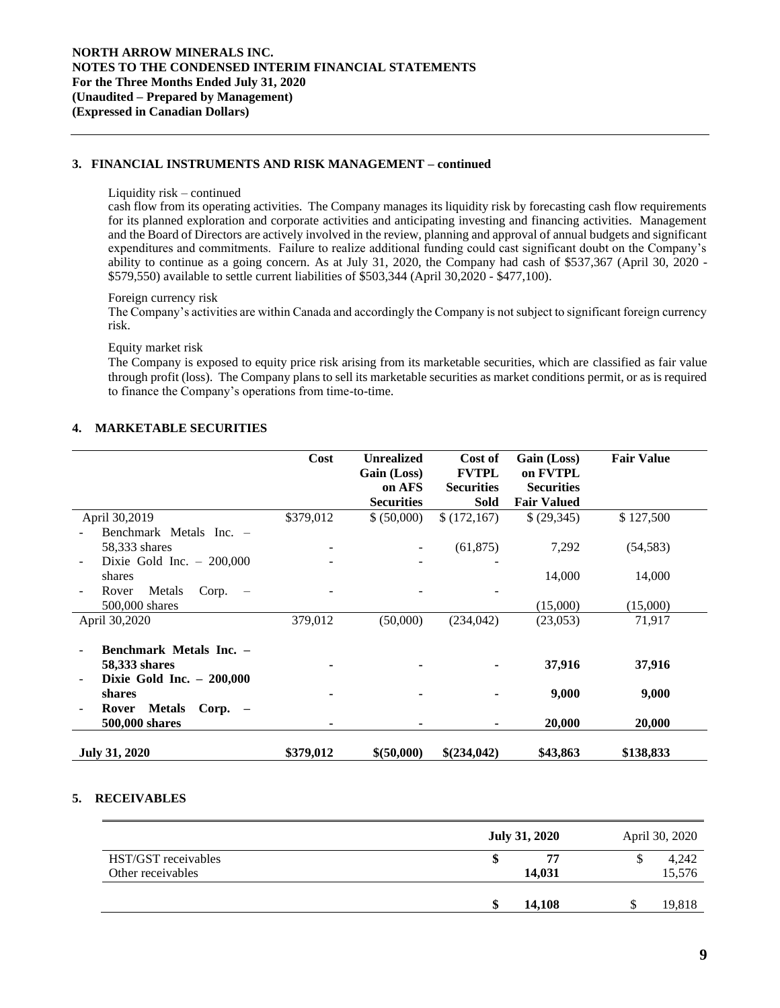## **3. FINANCIAL INSTRUMENTS AND RISK MANAGEMENT – continued**

#### Liquidity risk – continued

cash flow from its operating activities. The Company manages its liquidity risk by forecasting cash flow requirements for its planned exploration and corporate activities and anticipating investing and financing activities. Management and the Board of Directors are actively involved in the review, planning and approval of annual budgets and significant expenditures and commitments. Failure to realize additional funding could cast significant doubt on the Company's ability to continue as a going concern. As at July 31, 2020, the Company had cash of \$537,367 (April 30, 2020 - \$579,550) available to settle current liabilities of \$503,344 (April 30,2020 - \$477,100).

### Foreign currency risk

The Company's activities are within Canada and accordingly the Company is not subject to significant foreign currency risk.

#### Equity market risk

The Company is exposed to equity price risk arising from its marketable securities, which are classified as fair value through profit (loss). The Company plans to sell its marketable securities as market conditions permit, or as is required to finance the Company's operations from time-to-time.

## **4. MARKETABLE SECURITIES**

|                                     | Cost      | <b>Unrealized</b> | Cost of           | Gain (Loss)        | <b>Fair Value</b> |
|-------------------------------------|-----------|-------------------|-------------------|--------------------|-------------------|
|                                     |           | Gain (Loss)       | <b>FVTPL</b>      | on FVTPL           |                   |
|                                     |           | on AFS            | <b>Securities</b> | <b>Securities</b>  |                   |
|                                     |           | <b>Securities</b> | <b>Sold</b>       | <b>Fair Valued</b> |                   |
| April 30,2019                       | \$379,012 | \$ (50,000)       | \$(172,167)       | \$(29,345)         | \$127,500         |
| Benchmark Metals Inc. -             |           |                   |                   |                    |                   |
| 58,333 shares                       |           |                   | (61, 875)         | 7,292              | (54, 583)         |
| Dixie Gold Inc. $-200,000$          |           |                   |                   |                    |                   |
| shares                              |           |                   |                   | 14,000             | 14,000            |
| Metals<br>Corp.<br>Rover            |           |                   |                   |                    |                   |
| 500,000 shares                      |           |                   |                   | (15,000)           | (15,000)          |
| April 30,2020                       | 379,012   | (50,000)          | (234, 042)        | (23,053)           | 71,917            |
|                                     |           |                   |                   |                    |                   |
| Benchmark Metals Inc. -             |           |                   |                   |                    |                   |
| 58,333 shares                       |           |                   |                   | 37,916             | 37,916            |
| Dixie Gold Inc. $-200,000$          |           |                   |                   |                    |                   |
| shares                              |           |                   |                   | 9,000              | 9,000             |
| <b>Metals</b><br>$Corp. -$<br>Rover |           |                   |                   |                    |                   |
| 500,000 shares                      |           |                   |                   | 20,000             | 20,000            |
| <b>July 31, 2020</b>                | \$379,012 | \$ (50,000)       | \$(234,042)       | \$43,863           | \$138,833         |

### **5. RECEIVABLES**

|                     | <b>July 31, 2020</b> | April 30, 2020 |
|---------------------|----------------------|----------------|
| HST/GST receivables | 77                   | 4,242          |
| Other receivables   | 14,031               | 15,576         |
|                     | 14,108               | 19,818<br>J    |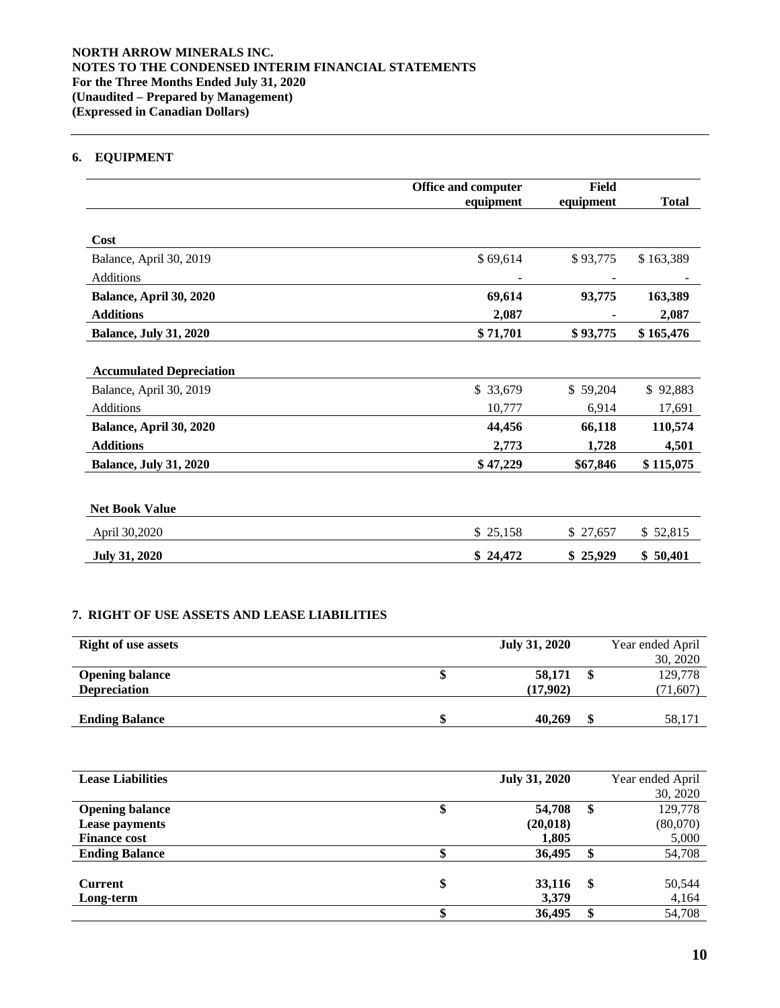# **6. EQUIPMENT**

|                                 | <b>Office and computer</b> | Field     |              |
|---------------------------------|----------------------------|-----------|--------------|
|                                 | equipment                  | equipment | <b>Total</b> |
|                                 |                            |           |              |
| Cost                            |                            |           |              |
| Balance, April 30, 2019         | \$69,614                   | \$93,775  | \$163,389    |
| Additions                       |                            |           |              |
| Balance, April 30, 2020         | 69,614                     | 93,775    | 163,389      |
| <b>Additions</b>                | 2,087                      |           | 2,087        |
| <b>Balance, July 31, 2020</b>   | \$71,701                   | \$93,775  | \$165,476    |
|                                 |                            |           |              |
| <b>Accumulated Depreciation</b> |                            |           |              |
| Balance, April 30, 2019         | \$ 33,679                  | \$59,204  | \$92,883     |
| Additions                       | 10,777                     | 6,914     | 17,691       |
| Balance, April 30, 2020         | 44,456                     | 66,118    | 110,574      |
| <b>Additions</b>                | 2,773                      | 1,728     | 4,501        |
| <b>Balance, July 31, 2020</b>   | \$47,229                   | \$67,846  | \$115,075    |
|                                 |                            |           |              |
| <b>Net Book Value</b>           |                            |           |              |
| April 30,2020                   | \$25,158                   | \$27,657  | \$52,815     |
| <b>July 31, 2020</b>            | \$24,472                   | \$25,929  | \$50,401     |

## **7. RIGHT OF USE ASSETS AND LEASE LIABILITIES**

| <b>Right of use assets</b> | <b>July 31, 2020</b> | Year ended April |
|----------------------------|----------------------|------------------|
|                            |                      | 30, 2020         |
| <b>Opening balance</b>     | 58,171               | 129,778          |
| <b>Depreciation</b>        | (17,902)             | (71, 607)        |
|                            |                      |                  |
| <b>Ending Balance</b>      | 40.269               | 58,171           |

| <b>Lease Liabilities</b> |    | <b>July 31, 2020</b> |    | Year ended April |
|--------------------------|----|----------------------|----|------------------|
|                          |    |                      |    | 30, 2020         |
| <b>Opening balance</b>   | Φ  | 54,708               | S  | 129,778          |
| <b>Lease payments</b>    |    | (20, 018)            |    | (80,070)         |
| <b>Finance cost</b>      |    | 1,805                |    | 5,000            |
| <b>Ending Balance</b>    |    | 36,495               |    | 54,708           |
|                          |    |                      |    |                  |
| <b>Current</b>           | \$ | 33,116               | \$ | 50,544           |
| Long-term                |    | 3,379                |    | 4,164            |
|                          |    | 36,495               |    | 54,708           |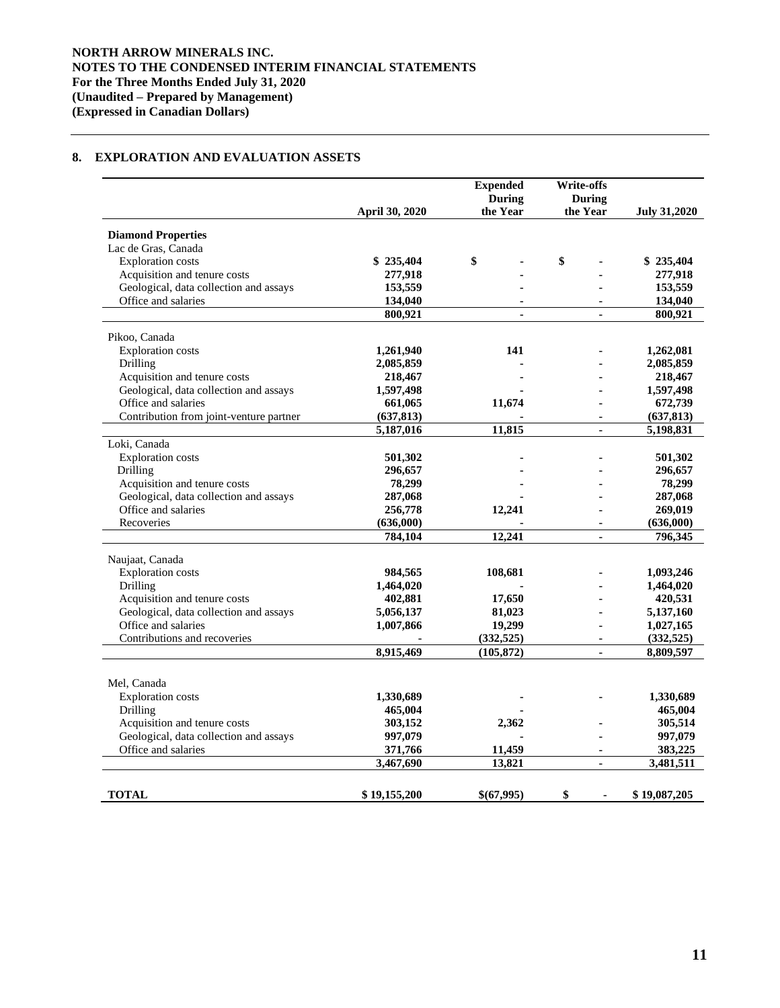## **8. EXPLORATION AND EVALUATION ASSETS**

|                                         |                         | <b>Expended</b><br><b>During</b> | Write-offs<br><b>During</b> |                         |
|-----------------------------------------|-------------------------|----------------------------------|-----------------------------|-------------------------|
|                                         | April 30, 2020          | the Year                         | the Year                    | <b>July 31,2020</b>     |
| <b>Diamond Properties</b>               |                         |                                  |                             |                         |
| Lac de Gras, Canada                     |                         |                                  |                             |                         |
| <b>Exploration</b> costs                | \$235,404               | \$                               | \$                          | \$235,404               |
| Acquisition and tenure costs            | 277,918                 |                                  |                             | 277,918                 |
| Geological, data collection and assays  | 153,559                 |                                  |                             | 153,559                 |
| Office and salaries                     | 134,040                 | $\blacksquare$                   |                             | 134,040                 |
|                                         | 800,921                 | ä,                               |                             | 800,921                 |
| Pikoo, Canada                           |                         |                                  |                             |                         |
| <b>Exploration</b> costs                | 1,261,940               | 141                              |                             | 1,262,081               |
| Drilling                                | 2,085,859               |                                  |                             | 2,085,859               |
| Acquisition and tenure costs            | 218,467                 |                                  |                             | 218,467                 |
| Geological, data collection and assays  | 1,597,498               |                                  |                             | 1,597,498               |
| Office and salaries                     |                         | 11,674                           |                             |                         |
|                                         | 661,065                 |                                  | $\blacksquare$              | 672,739                 |
| Contribution from joint-venture partner | (637, 813)<br>5,187,016 | 11,815                           | $\blacksquare$              | (637, 813)<br>5,198,831 |
| Loki, Canada                            |                         |                                  |                             |                         |
| Exploration costs                       | 501,302                 |                                  |                             | 501,302                 |
| Drilling                                | 296,657                 |                                  |                             | 296,657                 |
| Acquisition and tenure costs            | 78,299                  |                                  |                             | 78,299                  |
| Geological, data collection and assays  | 287,068                 |                                  |                             | 287,068                 |
| Office and salaries                     | 256,778                 | 12,241                           |                             | 269,019                 |
| Recoveries                              | (636,000)               |                                  |                             | (636,000)               |
|                                         | 784,104                 | 12.241                           |                             | 796,345                 |
|                                         |                         |                                  |                             |                         |
| Naujaat, Canada                         |                         |                                  |                             |                         |
| <b>Exploration</b> costs                | 984,565                 | 108,681                          |                             | 1,093,246               |
| Drilling                                | 1,464,020               |                                  |                             | 1,464,020               |
| Acquisition and tenure costs            | 402,881                 | 17,650                           |                             | 420,531                 |
| Geological, data collection and assays  | 5,056,137               | 81,023                           |                             | 5,137,160               |
| Office and salaries                     | 1,007,866               | 19,299                           |                             | 1,027,165               |
| Contributions and recoveries            |                         | (332, 525)                       | $\blacksquare$              | (332, 525)              |
|                                         | 8,915,469               | (105, 872)                       |                             | 8,809,597               |
|                                         |                         |                                  |                             |                         |
| Mel, Canada                             |                         |                                  |                             |                         |
| <b>Exploration</b> costs                | 1,330,689               |                                  |                             | 1,330,689               |
| Drilling                                | 465,004                 |                                  |                             | 465,004                 |
| Acquisition and tenure costs            | 303,152                 | 2,362                            |                             | 305,514                 |
| Geological, data collection and assays  | 997,079                 |                                  |                             | 997,079                 |
| Office and salaries                     | 371,766                 | 11,459                           |                             | 383,225                 |
|                                         | 3,467,690               | 13,821                           | $\blacksquare$              | 3,481,511               |
| <b>TOTAL</b>                            | \$19,155,200            | \$(67,995)                       | \$<br>$\blacksquare$        | \$19,087,205            |
|                                         |                         |                                  |                             |                         |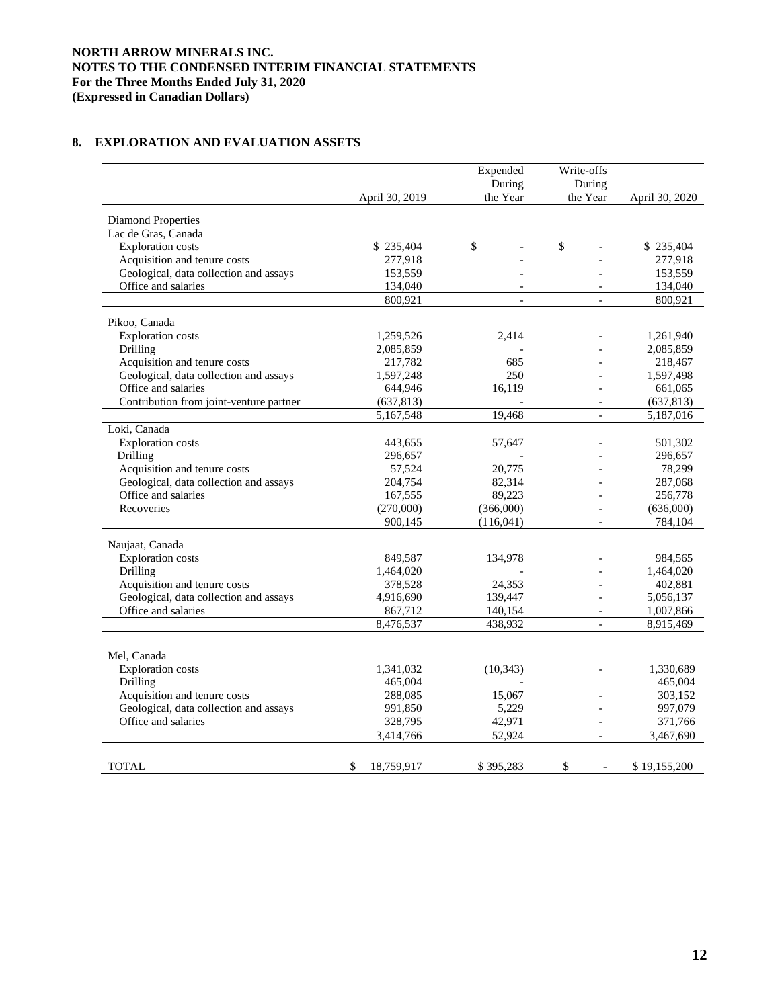## **NORTH ARROW MINERALS INC. NOTES TO THE CONDENSED INTERIM FINANCIAL STATEMENTS For the Three Months Ended July 31, 2020 (Expressed in Canadian Dollars)**

|  | 8. EXPLORATION AND EVALUATION ASSETS |  |
|--|--------------------------------------|--|
|--|--------------------------------------|--|

|                                                  |                  | Expended<br>During | Write-offs<br>During     |                |
|--------------------------------------------------|------------------|--------------------|--------------------------|----------------|
|                                                  | April 30, 2019   | the Year           | the Year                 | April 30, 2020 |
|                                                  |                  |                    |                          |                |
| <b>Diamond Properties</b><br>Lac de Gras, Canada |                  |                    |                          |                |
| <b>Exploration</b> costs                         | \$235,404        | \$                 | \$                       | \$235,404      |
| Acquisition and tenure costs                     | 277,918          |                    |                          | 277,918        |
| Geological, data collection and assays           | 153,559          |                    |                          | 153,559        |
| Office and salaries                              | 134,040          |                    |                          | 134,040        |
|                                                  | 800,921          | $\overline{a}$     | $\equiv$                 | 800,921        |
|                                                  |                  |                    |                          |                |
| Pikoo, Canada                                    |                  |                    |                          |                |
| <b>Exploration</b> costs                         | 1,259,526        | 2,414              |                          | 1,261,940      |
| Drilling                                         | 2,085,859        |                    |                          | 2,085,859      |
| Acquisition and tenure costs                     | 217,782          | 685                |                          | 218,467        |
| Geological, data collection and assays           | 1,597,248        | 250                |                          | 1,597,498      |
| Office and salaries                              | 644,946          | 16,119             |                          | 661,065        |
| Contribution from joint-venture partner          | (637, 813)       |                    | $\overline{\phantom{a}}$ | (637, 813)     |
|                                                  | 5,167,548        | 19,468             | $\equiv$                 | 5,187,016      |
| Loki, Canada                                     |                  |                    |                          |                |
| <b>Exploration</b> costs                         | 443,655          | 57,647             |                          | 501,302        |
| Drilling                                         | 296,657          |                    |                          | 296,657        |
| Acquisition and tenure costs                     | 57,524           | 20,775             |                          | 78,299         |
| Geological, data collection and assays           | 204,754          | 82,314             |                          | 287,068        |
| Office and salaries                              | 167,555          | 89,223             |                          | 256,778        |
| Recoveries                                       | (270,000)        | (366,000)          | $\overline{\phantom{a}}$ | (636,000)      |
|                                                  | 900,145          | (116, 041)         | $\overline{a}$           | 784,104        |
| Naujaat, Canada                                  |                  |                    |                          |                |
| <b>Exploration</b> costs                         | 849,587          | 134,978            |                          | 984,565        |
| Drilling                                         | 1,464,020        |                    |                          | 1,464,020      |
| Acquisition and tenure costs                     | 378,528          | 24,353             |                          | 402,881        |
| Geological, data collection and assays           | 4,916,690        | 139,447            |                          | 5,056,137      |
| Office and salaries                              | 867,712          | 140,154            |                          | 1,007,866      |
|                                                  | 8,476,537        | 438,932            | $\overline{\phantom{a}}$ | 8,915,469      |
|                                                  |                  |                    |                          |                |
| Mel, Canada                                      |                  |                    |                          |                |
| <b>Exploration</b> costs                         | 1,341,032        | (10, 343)          |                          | 1,330,689      |
| Drilling                                         | 465,004          |                    |                          | 465,004        |
| Acquisition and tenure costs                     | 288,085          | 15,067             |                          | 303,152        |
| Geological, data collection and assays           | 991,850          | 5,229              |                          | 997,079        |
| Office and salaries                              | 328,795          | 42,971             |                          | 371,766        |
|                                                  | 3,414,766        | 52,924             | $\overline{\phantom{a}}$ | 3,467,690      |
|                                                  |                  |                    |                          |                |
|                                                  |                  |                    | \$                       |                |
| TOTAL                                            | \$<br>18,759,917 | \$395,283          | $\overline{a}$           | \$19,155,200   |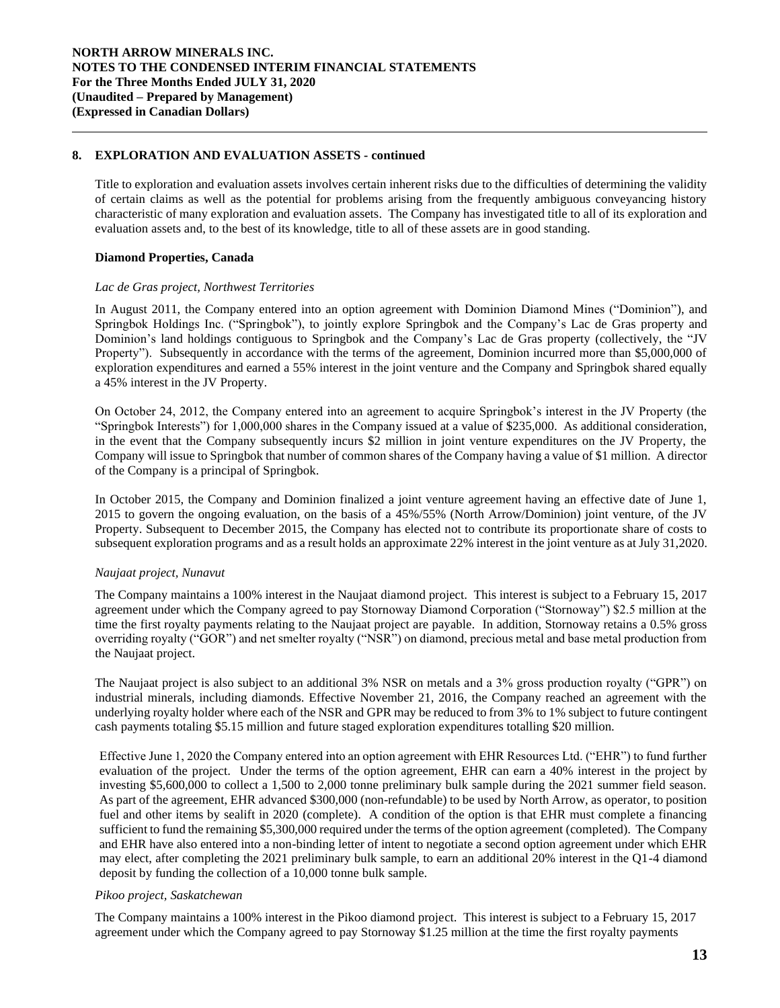### **8. EXPLORATION AND EVALUATION ASSETS - continued**

Title to exploration and evaluation assets involves certain inherent risks due to the difficulties of determining the validity of certain claims as well as the potential for problems arising from the frequently ambiguous conveyancing history characteristic of many exploration and evaluation assets. The Company has investigated title to all of its exploration and evaluation assets and, to the best of its knowledge, title to all of these assets are in good standing.

### **Diamond Properties, Canada**

#### *Lac de Gras project, Northwest Territories*

In August 2011, the Company entered into an option agreement with Dominion Diamond Mines ("Dominion"), and Springbok Holdings Inc. ("Springbok"), to jointly explore Springbok and the Company's Lac de Gras property and Dominion's land holdings contiguous to Springbok and the Company's Lac de Gras property (collectively, the "JV Property"). Subsequently in accordance with the terms of the agreement, Dominion incurred more than \$5,000,000 of exploration expenditures and earned a 55% interest in the joint venture and the Company and Springbok shared equally a 45% interest in the JV Property.

On October 24, 2012, the Company entered into an agreement to acquire Springbok's interest in the JV Property (the "Springbok Interests") for 1,000,000 shares in the Company issued at a value of \$235,000. As additional consideration, in the event that the Company subsequently incurs \$2 million in joint venture expenditures on the JV Property, the Company will issue to Springbok that number of common shares of the Company having a value of \$1 million. A director of the Company is a principal of Springbok.

In October 2015, the Company and Dominion finalized a joint venture agreement having an effective date of June 1, 2015 to govern the ongoing evaluation, on the basis of a 45%/55% (North Arrow/Dominion) joint venture, of the JV Property. Subsequent to December 2015, the Company has elected not to contribute its proportionate share of costs to subsequent exploration programs and as a result holds an approximate 22% interest in the joint venture as at July 31,2020.

## *Naujaat project, Nunavut*

The Company maintains a 100% interest in the Naujaat diamond project. This interest is subject to a February 15, 2017 agreement under which the Company agreed to pay Stornoway Diamond Corporation ("Stornoway") \$2.5 million at the time the first royalty payments relating to the Naujaat project are payable. In addition, Stornoway retains a 0.5% gross overriding royalty ("GOR") and net smelter royalty ("NSR") on diamond, precious metal and base metal production from the Naujaat project.

The Naujaat project is also subject to an additional 3% NSR on metals and a 3% gross production royalty ("GPR") on industrial minerals, including diamonds. Effective November 21, 2016, the Company reached an agreement with the underlying royalty holder where each of the NSR and GPR may be reduced to from 3% to 1% subject to future contingent cash payments totaling \$5.15 million and future staged exploration expenditures totalling \$20 million.

Effective June 1, 2020 the Company entered into an option agreement with EHR Resources Ltd. ("EHR") to fund further evaluation of the project. Under the terms of the option agreement, EHR can earn a 40% interest in the project by investing \$5,600,000 to collect a 1,500 to 2,000 tonne preliminary bulk sample during the 2021 summer field season. As part of the agreement, EHR advanced \$300,000 (non-refundable) to be used by North Arrow, as operator, to position fuel and other items by sealift in 2020 (complete). A condition of the option is that EHR must complete a financing sufficient to fund the remaining \$5,300,000 required under the terms of the option agreement (completed). The Company and EHR have also entered into a non-binding letter of intent to negotiate a second option agreement under which EHR may elect, after completing the 2021 preliminary bulk sample, to earn an additional 20% interest in the Q1-4 diamond deposit by funding the collection of a 10,000 tonne bulk sample.

## *Pikoo project, Saskatchewan*

The Company maintains a 100% interest in the Pikoo diamond project. This interest is subject to a February 15, 2017 agreement under which the Company agreed to pay Stornoway \$1.25 million at the time the first royalty payments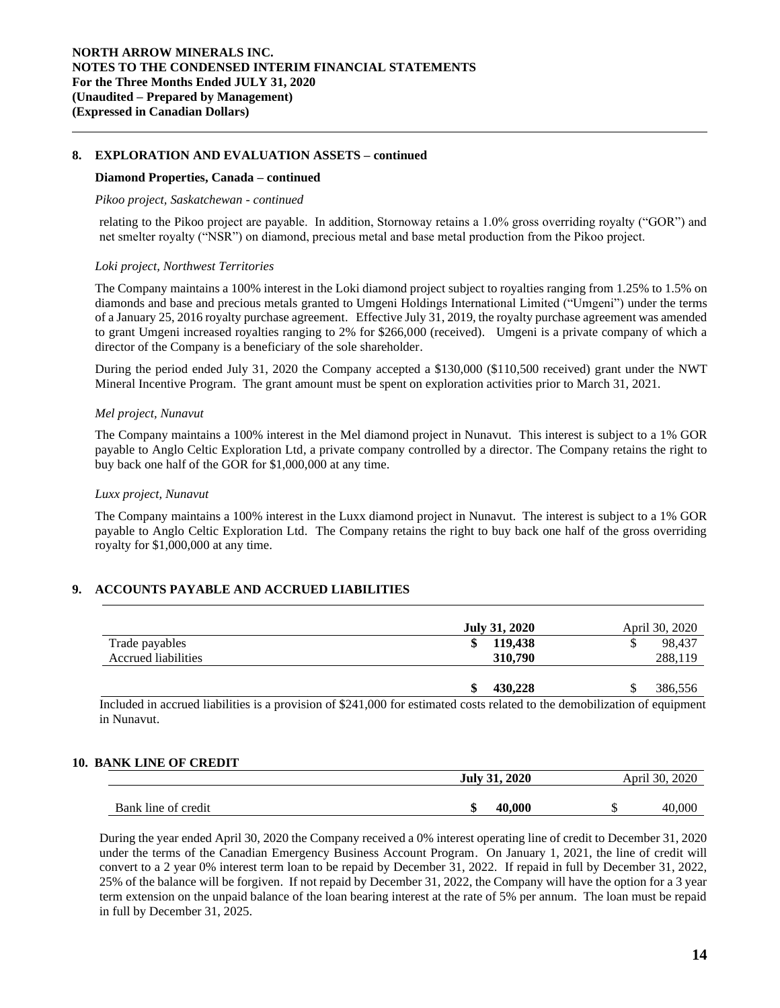### **8. EXPLORATION AND EVALUATION ASSETS – continued**

#### **Diamond Properties, Canada – continued**

#### *Pikoo project, Saskatchewan - continued*

relating to the Pikoo project are payable. In addition, Stornoway retains a 1.0% gross overriding royalty ("GOR") and net smelter royalty ("NSR") on diamond, precious metal and base metal production from the Pikoo project.

#### *Loki project, Northwest Territories*

The Company maintains a 100% interest in the Loki diamond project subject to royalties ranging from 1.25% to 1.5% on diamonds and base and precious metals granted to Umgeni Holdings International Limited ("Umgeni") under the terms of a January 25, 2016 royalty purchase agreement. Effective July 31, 2019, the royalty purchase agreement was amended to grant Umgeni increased royalties ranging to 2% for \$266,000 (received). Umgeni is a private company of which a director of the Company is a beneficiary of the sole shareholder.

During the period ended July 31, 2020 the Company accepted a \$130,000 (\$110,500 received) grant under the NWT Mineral Incentive Program. The grant amount must be spent on exploration activities prior to March 31, 2021.

#### *Mel project, Nunavut*

The Company maintains a 100% interest in the Mel diamond project in Nunavut. This interest is subject to a 1% GOR payable to Anglo Celtic Exploration Ltd, a private company controlled by a director. The Company retains the right to buy back one half of the GOR for \$1,000,000 at any time.

#### *Luxx project, Nunavut*

The Company maintains a 100% interest in the Luxx diamond project in Nunavut. The interest is subject to a 1% GOR payable to Anglo Celtic Exploration Ltd. The Company retains the right to buy back one half of the gross overriding royalty for \$1,000,000 at any time.

## **9. ACCOUNTS PAYABLE AND ACCRUED LIABILITIES**

|                     | <b>July 31, 2020</b> | April 30, 2020 |
|---------------------|----------------------|----------------|
| Trade payables      | 119,438<br>\$        | 98.437<br>S    |
| Accrued liabilities | 310,790              | 288,119        |
|                     |                      |                |
|                     | 430,228<br>ъ         | 386,556<br>۰D  |

Included in accrued liabilities is a provision of \$241,000 for estimated costs related to the demobilization of equipment in Nunavut.

## **10. BANK LINE OF CREDIT**

|                     | <b>July 31, 2020</b><br>April 30, 2020 |        |  |
|---------------------|----------------------------------------|--------|--|
|                     |                                        |        |  |
| Bank line of credit | .000<br>40.<br>۱D                      | 40.00C |  |

During the year ended April 30, 2020 the Company received a 0% interest operating line of credit to December 31, 2020 under the terms of the Canadian Emergency Business Account Program. On January 1, 2021, the line of credit will convert to a 2 year 0% interest term loan to be repaid by December 31, 2022. If repaid in full by December 31, 2022, 25% of the balance will be forgiven. If not repaid by December 31, 2022, the Company will have the option for a 3 year term extension on the unpaid balance of the loan bearing interest at the rate of 5% per annum. The loan must be repaid in full by December 31, 2025.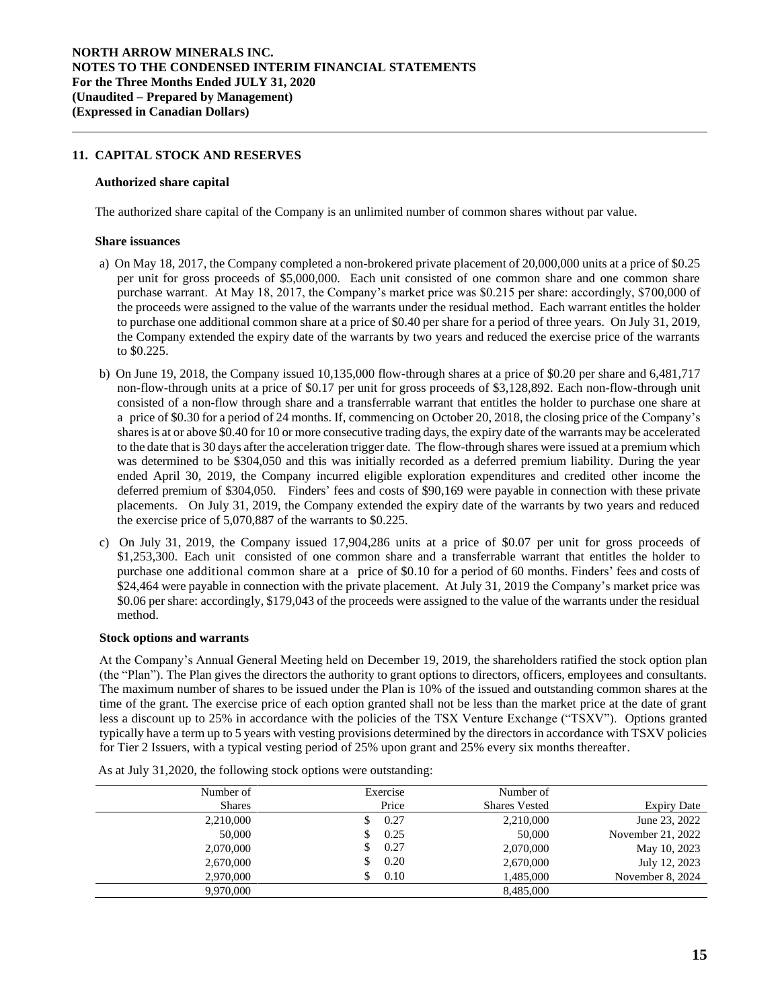### **11. CAPITAL STOCK AND RESERVES**

#### **Authorized share capital**

The authorized share capital of the Company is an unlimited number of common shares without par value.

#### **Share issuances**

- a) On May 18, 2017, the Company completed a non-brokered private placement of 20,000,000 units at a price of \$0.25 per unit for gross proceeds of \$5,000,000. Each unit consisted of one common share and one common share purchase warrant. At May 18, 2017, the Company's market price was \$0.215 per share: accordingly, \$700,000 of the proceeds were assigned to the value of the warrants under the residual method. Each warrant entitles the holder to purchase one additional common share at a price of \$0.40 per share for a period of three years. On July 31, 2019, the Company extended the expiry date of the warrants by two years and reduced the exercise price of the warrants to \$0.225.
- b) On June 19, 2018, the Company issued 10,135,000 flow-through shares at a price of \$0.20 per share and 6,481,717 non-flow-through units at a price of \$0.17 per unit for gross proceeds of \$3,128,892. Each non-flow-through unit consisted of a non-flow through share and a transferrable warrant that entitles the holder to purchase one share at a price of \$0.30 for a period of 24 months. If, commencing on October 20, 2018, the closing price of the Company's sharesis at or above \$0.40 for 10 or more consecutive trading days, the expiry date of the warrants may be accelerated to the date that is 30 days after the acceleration trigger date. The flow-through shares were issued at a premium which was determined to be \$304,050 and this was initially recorded as a deferred premium liability. During the year ended April 30, 2019, the Company incurred eligible exploration expenditures and credited other income the deferred premium of \$304,050. Finders' fees and costs of \$90,169 were payable in connection with these private placements. On July 31, 2019, the Company extended the expiry date of the warrants by two years and reduced the exercise price of 5,070,887 of the warrants to \$0.225.
- c) On July 31, 2019, the Company issued 17,904,286 units at a price of \$0.07 per unit for gross proceeds of \$1,253,300. Each unit consisted of one common share and a transferrable warrant that entitles the holder to purchase one additional common share at a price of \$0.10 for a period of 60 months. Finders' fees and costs of \$24,464 were payable in connection with the private placement. At July 31, 2019 the Company's market price was \$0.06 per share: accordingly, \$179,043 of the proceeds were assigned to the value of the warrants under the residual method.

#### **Stock options and warrants**

At the Company's Annual General Meeting held on December 19, 2019, the shareholders ratified the stock option plan (the "Plan"). The Plan gives the directors the authority to grant options to directors, officers, employees and consultants. The maximum number of shares to be issued under the Plan is 10% of the issued and outstanding common shares at the time of the grant. The exercise price of each option granted shall not be less than the market price at the date of grant less a discount up to 25% in accordance with the policies of the TSX Venture Exchange ("TSXV"). Options granted typically have a term up to 5 years with vesting provisions determined by the directors in accordance with TSXV policies for Tier 2 Issuers, with a typical vesting period of 25% upon grant and 25% every six months thereafter.

| Number of     | Exercise | Number of            |                   |
|---------------|----------|----------------------|-------------------|
| <b>Shares</b> | Price    | <b>Shares Vested</b> | Expiry Date       |
| 2,210,000     | 0.27     | 2,210,000            | June 23, 2022     |
| 50,000        | 0.25     | 50,000               | November 21, 2022 |
| 2,070,000     | 0.27     | 2,070,000            | May 10, 2023      |
| 2,670,000     | 0.20     | 2,670,000            | July 12, 2023     |
| 2,970,000     | 0.10     | 1,485,000            | November 8, 2024  |
| 9.970.000     |          | 8.485,000            |                   |

As at July 31,2020, the following stock options were outstanding: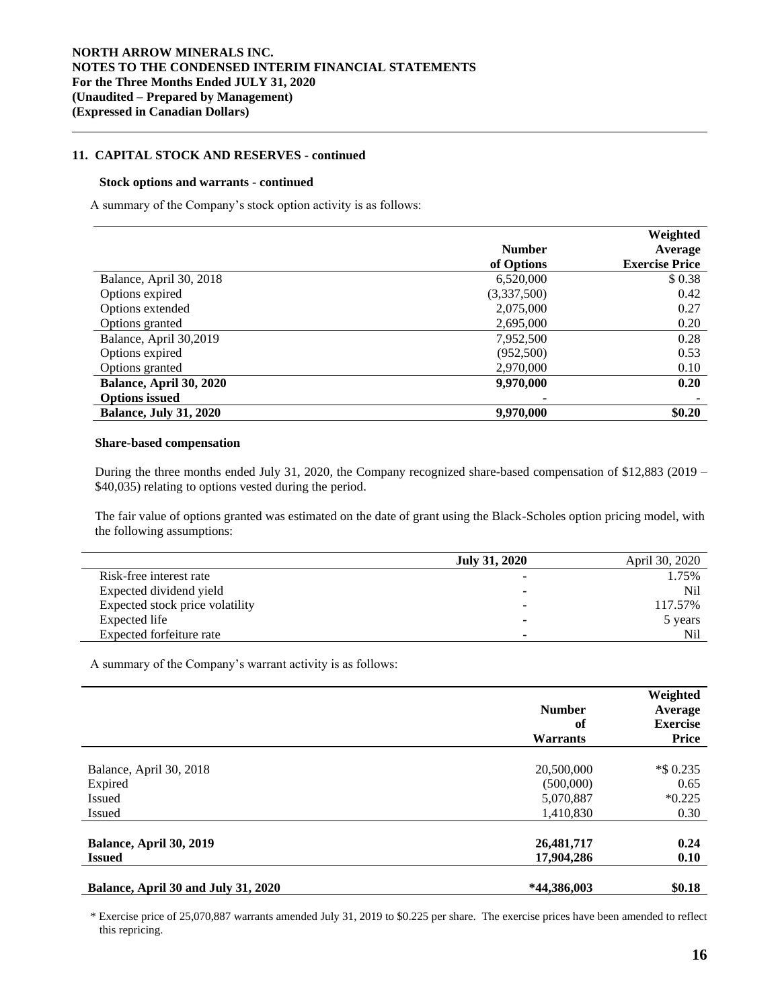### **11. CAPITAL STOCK AND RESERVES - continued**

#### **Stock options and warrants - continued**

A summary of the Company's stock option activity is as follows:

|                               |               | Weighted              |
|-------------------------------|---------------|-----------------------|
|                               | <b>Number</b> | Average               |
|                               | of Options    | <b>Exercise Price</b> |
| Balance, April 30, 2018       | 6,520,000     | \$0.38                |
| Options expired               | (3,337,500)   | 0.42                  |
| Options extended              | 2,075,000     | 0.27                  |
| Options granted               | 2,695,000     | 0.20                  |
| Balance, April 30,2019        | 7,952,500     | 0.28                  |
| Options expired               | (952,500)     | 0.53                  |
| Options granted               | 2,970,000     | 0.10                  |
| Balance, April 30, 2020       | 9,970,000     | 0.20                  |
| <b>Options issued</b>         |               |                       |
| <b>Balance, July 31, 2020</b> | 9,970,000     | \$0.20                |

#### **Share-based compensation**

During the three months ended July 31, 2020, the Company recognized share-based compensation of \$12,883 (2019 – \$40,035) relating to options vested during the period.

The fair value of options granted was estimated on the date of grant using the Black-Scholes option pricing model, with the following assumptions:

|                                 | July 31, 2020            | April 30, 2020 |
|---------------------------------|--------------------------|----------------|
| Risk-free interest rate         | $\overline{\phantom{a}}$ | 1.75%          |
| Expected dividend yield         | $\overline{\phantom{a}}$ | Nil            |
| Expected stock price volatility | ۰                        | 117.57%        |
| Expected life                   | $\overline{\phantom{a}}$ | 5 years        |
| Expected forfeiture rate        | ۰                        | Nil            |

A summary of the Company's warrant activity is as follows:

|                                          | <b>Number</b><br>of<br><b>Warrants</b> | Weighted<br>Average<br><b>Exercise</b><br>Price |
|------------------------------------------|----------------------------------------|-------------------------------------------------|
| Balance, April 30, 2018                  | 20,500,000                             | *\$ 0.235                                       |
| Expired                                  | (500,000)                              | 0.65                                            |
| <b>Issued</b>                            | 5,070,887                              | $*0.225$                                        |
| <b>Issued</b>                            | 1,410,830                              | 0.30                                            |
| Balance, April 30, 2019<br><b>Issued</b> | 26,481,717                             | 0.24                                            |
|                                          | 17,904,286                             | 0.10                                            |
| Balance, April 30 and July 31, 2020      | *44,386,003                            | \$0.18                                          |

\* Exercise price of 25,070,887 warrants amended July 31, 2019 to \$0.225 per share. The exercise prices have been amended to reflect this repricing.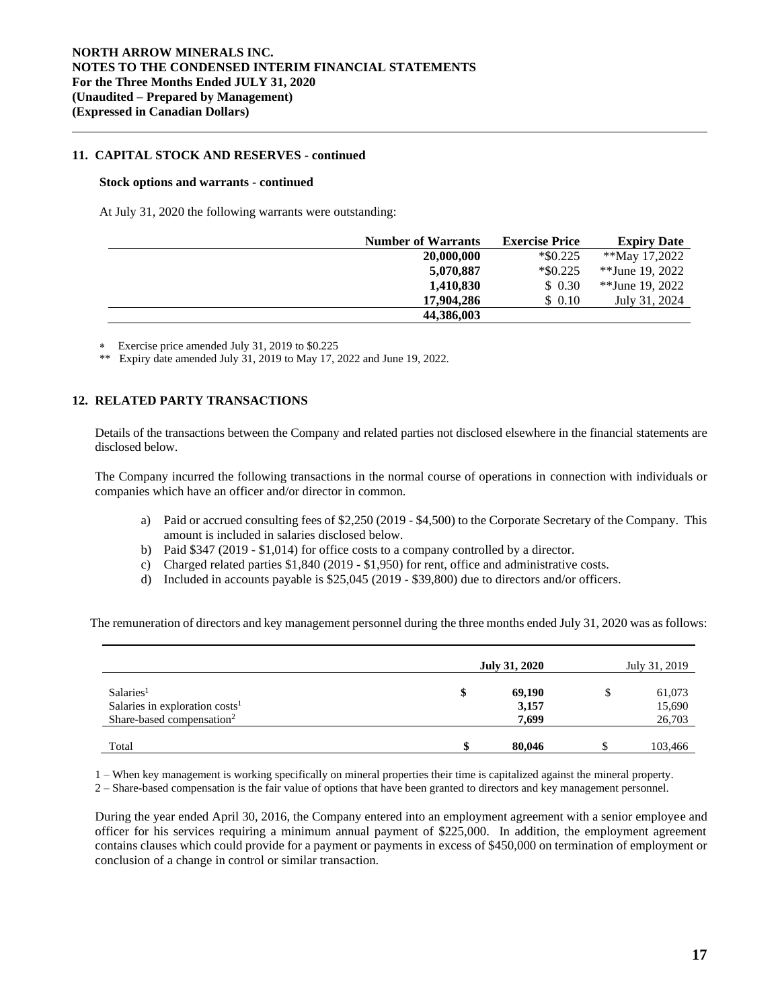### **11. CAPITAL STOCK AND RESERVES - continued**

#### **Stock options and warrants - continued**

At July 31, 2020 the following warrants were outstanding:

| <b>Number of Warrants</b> | <b>Exercise Price</b> | <b>Expiry Date</b> |
|---------------------------|-----------------------|--------------------|
| 20,000,000                | $*$ \$0.225           | **May 17,2022      |
| 5,070,887                 | $*$ \$0.225           | $*$ Vune 19. 2022  |
| 1,410,830                 | \$ 0.30               | $*$ Vune 19. 2022  |
| 17,904,286                | \$ 0.10               | July 31, 2024      |
| 44,386,003                |                       |                    |

Exercise price amended July 31, 2019 to \$0.225

\*\* Expiry date amended July 31, 2019 to May 17, 2022 and June 19, 2022.

### **12. RELATED PARTY TRANSACTIONS**

Details of the transactions between the Company and related parties not disclosed elsewhere in the financial statements are disclosed below.

The Company incurred the following transactions in the normal course of operations in connection with individuals or companies which have an officer and/or director in common.

- a) Paid or accrued consulting fees of \$2,250 (2019 \$4,500) to the Corporate Secretary of the Company. This amount is included in salaries disclosed below.
- b) Paid \$347 (2019 \$1,014) for office costs to a company controlled by a director.
- c) Charged related parties \$1,840 (2019 \$1,950) for rent, office and administrative costs.
- d) Included in accounts payable is \$25,045 (2019 \$39,800) due to directors and/or officers.

The remuneration of directors and key management personnel during the three months ended July 31, 2020 was as follows:

|                                                                                                    | <b>July 31, 2020</b> |                          | July 31, 2019 |                            |
|----------------------------------------------------------------------------------------------------|----------------------|--------------------------|---------------|----------------------------|
| Salaries <sup>1</sup><br>Salaries in exploration $costs1$<br>Share-based compensation <sup>2</sup> | \$                   | 69,190<br>3,157<br>7,699 | \$            | 61,073<br>15,690<br>26,703 |
| Total                                                                                              |                      | 80,046                   |               | 103,466                    |

1 – When key management is working specifically on mineral properties their time is capitalized against the mineral property.

2 – Share-based compensation is the fair value of options that have been granted to directors and key management personnel.

During the year ended April 30, 2016, the Company entered into an employment agreement with a senior employee and officer for his services requiring a minimum annual payment of \$225,000. In addition, the employment agreement contains clauses which could provide for a payment or payments in excess of \$450,000 on termination of employment or conclusion of a change in control or similar transaction.